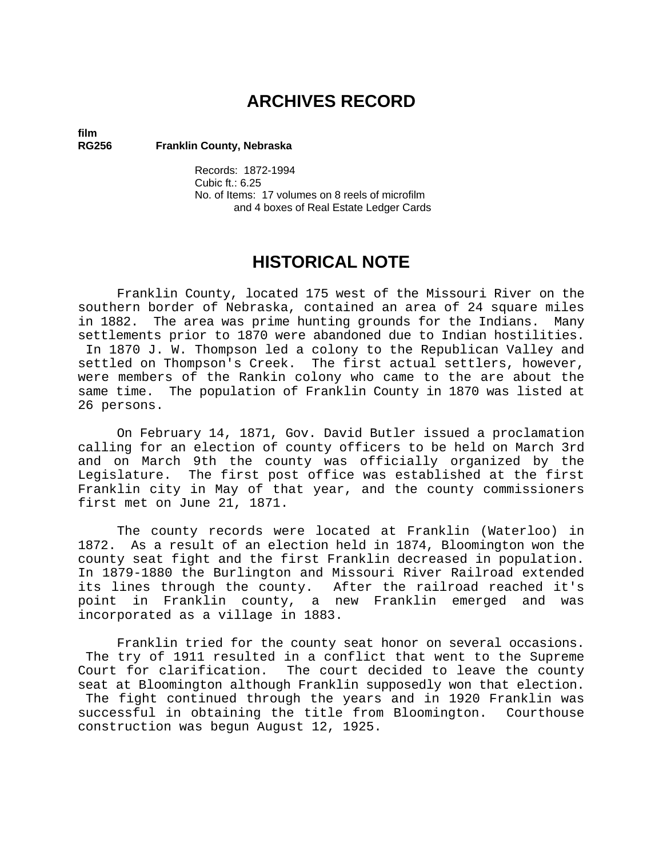# **ARCHIVES RECORD**

# **film**

**RG256 Franklin County, Nebraska** 

Records: 1872-1994 Cubic ft.: 6.25 No. of Items: 17 volumes on 8 reels of microfilm and 4 boxes of Real Estate Ledger Cards

## **HISTORICAL NOTE**

Franklin County, located 175 west of the Missouri River on the southern border of Nebraska, contained an area of 24 square miles in 1882. The area was prime hunting grounds for the Indians. Many settlements prior to 1870 were abandoned due to Indian hostilities. In 1870 J. W. Thompson led a colony to the Republican Valley and settled on Thompson's Creek. The first actual settlers, however, were members of the Rankin colony who came to the are about the same time. The population of Franklin County in 1870 was listed at 26 persons.

On February 14, 1871, Gov. David Butler issued a proclamation calling for an election of county officers to be held on March 3rd and on March 9th the county was officially organized by the Legislature. The first post office was established at the first Franklin city in May of that year, and the county commissioners first met on June 21, 1871.

The county records were located at Franklin (Waterloo) in 1872. As a result of an election held in 1874, Bloomington won the county seat fight and the first Franklin decreased in population. In 1879-1880 the Burlington and Missouri River Railroad extended its lines through the county. After the railroad reached it's point in Franklin county, a new Franklin emerged and was incorporated as a village in 1883.

Franklin tried for the county seat honor on several occasions. The try of 1911 resulted in a conflict that went to the Supreme Court for clarification. The court decided to leave the county seat at Bloomington although Franklin supposedly won that election. The fight continued through the years and in 1920 Franklin was successful in obtaining the title from Bloomington. Courthouse construction was begun August 12, 1925.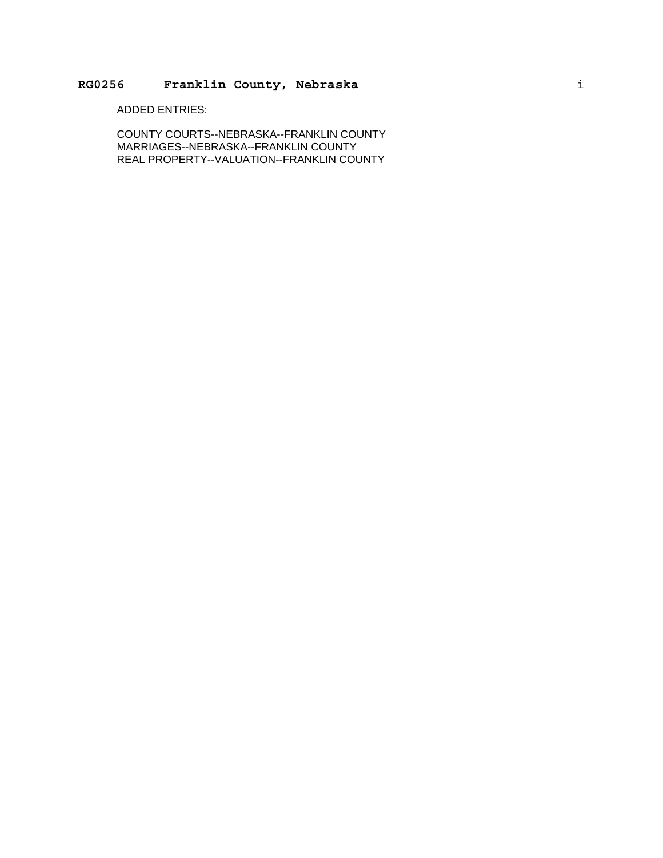### **RG0256 Franklin County, Nebraska** i

ADDED ENTRIES:

COUNTY COURTS--NEBRASKA--FRANKLIN COUNTY MARRIAGES--NEBRASKA--FRANKLIN COUNTY REAL PROPERTY--VALUATION--FRANKLIN COUNTY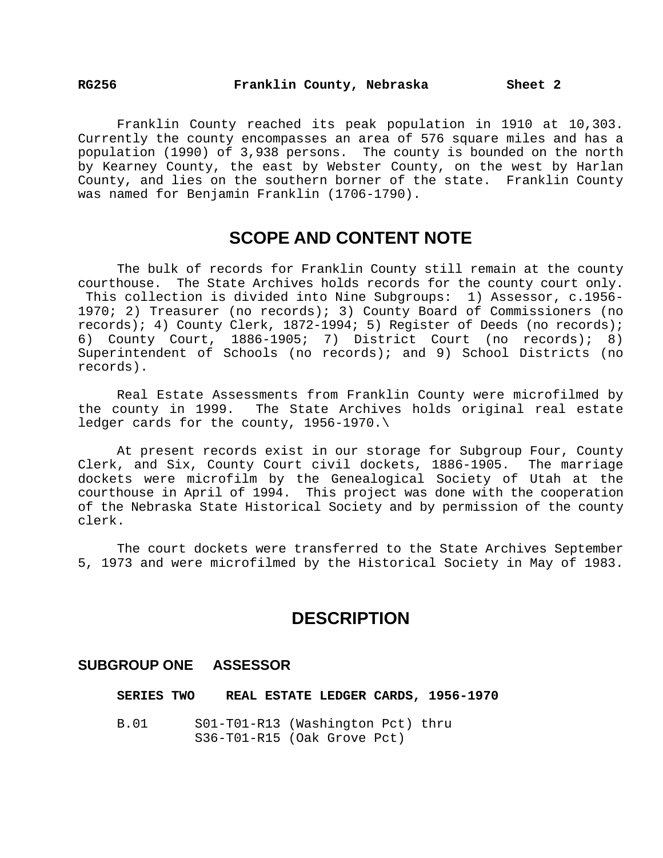Franklin County reached its peak population in 1910 at 10,303. Currently the county encompasses an area of 576 square miles and has a population (1990) of 3,938 persons. The county is bounded on the north by Kearney County, the east by Webster County, on the west by Harlan County, and lies on the southern borner of the state. Franklin County was named for Benjamin Franklin (1706-1790).

### **SCOPE AND CONTENT NOTE**

The bulk of records for Franklin County still remain at the county courthouse. The State Archives holds records for the county court only. This collection is divided into Nine Subgroups: 1) Assessor, c.1956- 1970; 2) Treasurer (no records); 3) County Board of Commissioners (no records); 4) County Clerk, 1872-1994; 5) Register of Deeds (no records); 6) County Court, 1886-1905; 7) District Court (no records); 8) Superintendent of Schools (no records); and 9) School Districts (no records).

Real Estate Assessments from Franklin County were microfilmed by the county in 1999. The State Archives holds original real estate ledger cards for the county, 1956-1970.\

At present records exist in our storage for Subgroup Four, County Clerk, and Six, County Court civil dockets, 1886-1905. The marriage dockets were microfilm by the Genealogical Society of Utah at the courthouse in April of 1994. This project was done with the cooperation of the Nebraska State Historical Society and by permission of the county clerk.

The court dockets were transferred to the State Archives September 5, 1973 and were microfilmed by the Historical Society in May of 1983.

## **DESCRIPTION**

### **SUBGROUP ONE ASSESSOR**

**SERIES TWO REAL ESTATE LEDGER CARDS, 1956-1970** 

B.01 S01-T01-R13 (Washington Pct) thru S36-T01-R15 (Oak Grove Pct)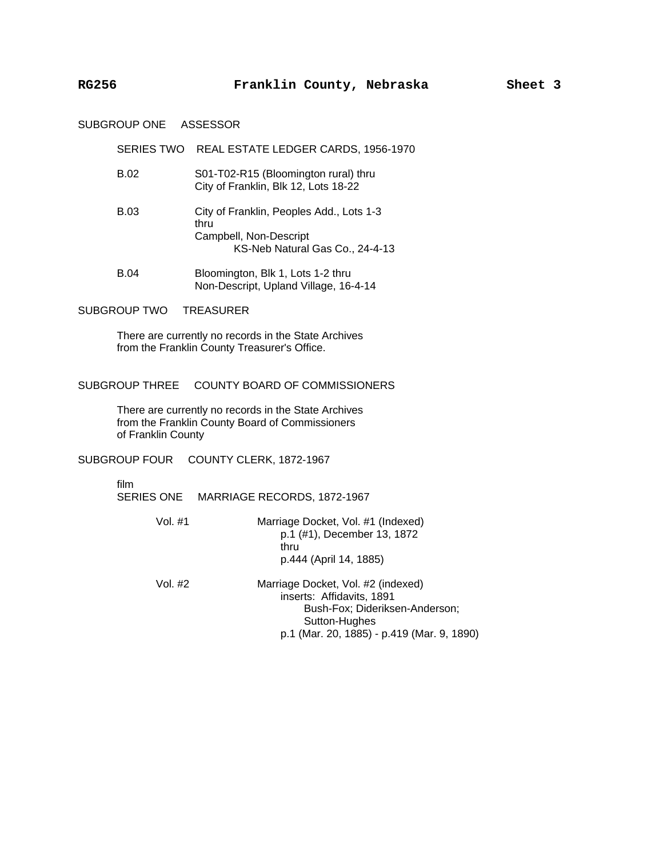#### SUBGROUP ONE ASSESSOR

#### SERIES TWO REAL ESTATE LEDGER CARDS, 1956-1970

- B.02 S01-T02-R15 (Bloomington rural) thru City of Franklin, Blk 12, Lots 18-22
- B.03 City of Franklin, Peoples Add., Lots 1-3 thru Campbell, Non-Descript KS-Neb Natural Gas Co., 24-4-13
- B.04 Bloomington, Blk 1, Lots 1-2 thru Non-Descript, Upland Village, 16-4-14

#### SUBGROUP TWO TREASURER

There are currently no records in the State Archives from the Franklin County Treasurer's Office.

#### SUBGROUP THREE COUNTY BOARD OF COMMISSIONERS

There are currently no records in the State Archives from the Franklin County Board of Commissioners of Franklin County

SUBGROUP FOUR COUNTY CLERK, 1872-1967

film

SERIES ONE MARRIAGE RECORDS, 1872-1967

- Vol. #1 Marriage Docket, Vol. #1 (Indexed) p.1 (#1), December 13, 1872 thru p.444 (April 14, 1885)
- Vol. #2 Marriage Docket, Vol. #2 (indexed) inserts: Affidavits, 1891 Bush-Fox; Dideriksen-Anderson; Sutton-Hughes p.1 (Mar. 20, 1885) - p.419 (Mar. 9, 1890)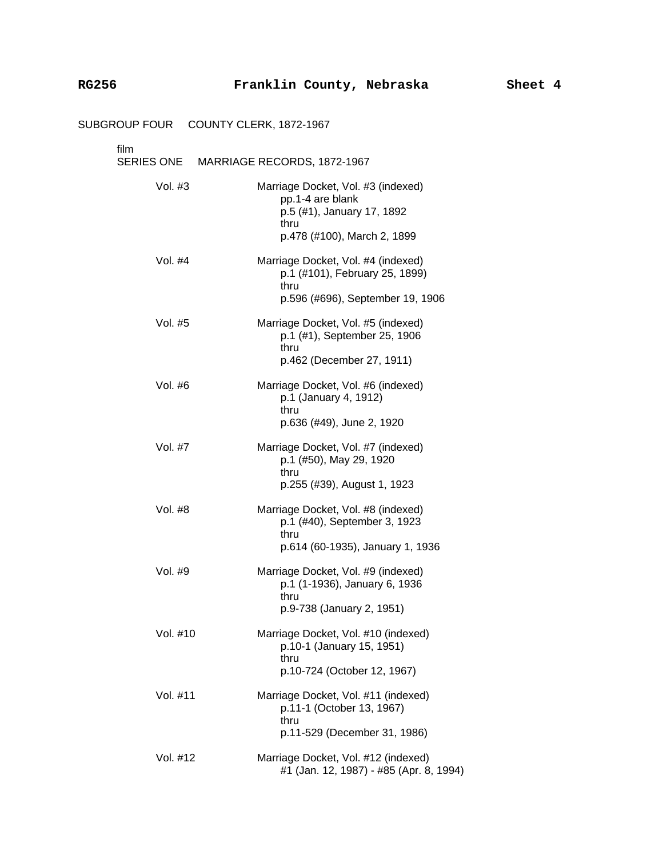### SUBGROUP FOUR COUNTY CLERK, 1872-1967

# film<br>SEI

| tılm      | SERIES ONE MARRIAGE RECORDS, 1872-1967                                                                                      |
|-----------|-----------------------------------------------------------------------------------------------------------------------------|
| Vol. $#3$ | Marriage Docket, Vol. #3 (indexed)<br>pp.1-4 are blank<br>p.5 (#1), January 17, 1892<br>thru<br>p.478 (#100), March 2, 1899 |
| Vol. #4   | Marriage Docket, Vol. #4 (indexed)<br>p.1 (#101), February 25, 1899)<br>thru<br>p.596 (#696), September 19, 1906            |
| Vol. #5   | Marriage Docket, Vol. #5 (indexed)<br>p.1 (#1), September 25, 1906<br>thru<br>p.462 (December 27, 1911)                     |
| Vol. #6   | Marriage Docket, Vol. #6 (indexed)<br>p.1 (January 4, 1912)<br>thru<br>p.636 (#49), June 2, 1920                            |
| Vol. #7   | Marriage Docket, Vol. #7 (indexed)<br>p.1 (#50), May 29, 1920<br>thru<br>p.255 (#39), August 1, 1923                        |
| Vol. #8   | Marriage Docket, Vol. #8 (indexed)<br>p.1 (#40), September 3, 1923<br>thru<br>p.614 (60-1935), January 1, 1936              |
| Vol. #9   | Marriage Docket, Vol. #9 (indexed)<br>p.1 (1-1936), January 6, 1936<br>thru<br>p.9-738 (January 2, 1951)                    |
| Vol. #10  | Marriage Docket, Vol. #10 (indexed)<br>p.10-1 (January 15, 1951)<br>thru<br>p.10-724 (October 12, 1967)                     |
| Vol. #11  | Marriage Docket, Vol. #11 (indexed)<br>p.11-1 (October 13, 1967)<br>thru<br>p.11-529 (December 31, 1986)                    |
| Vol. #12  | Marriage Docket, Vol. #12 (indexed)<br>#1 (Jan. 12, 1987) - #85 (Apr. 8, 1994)                                              |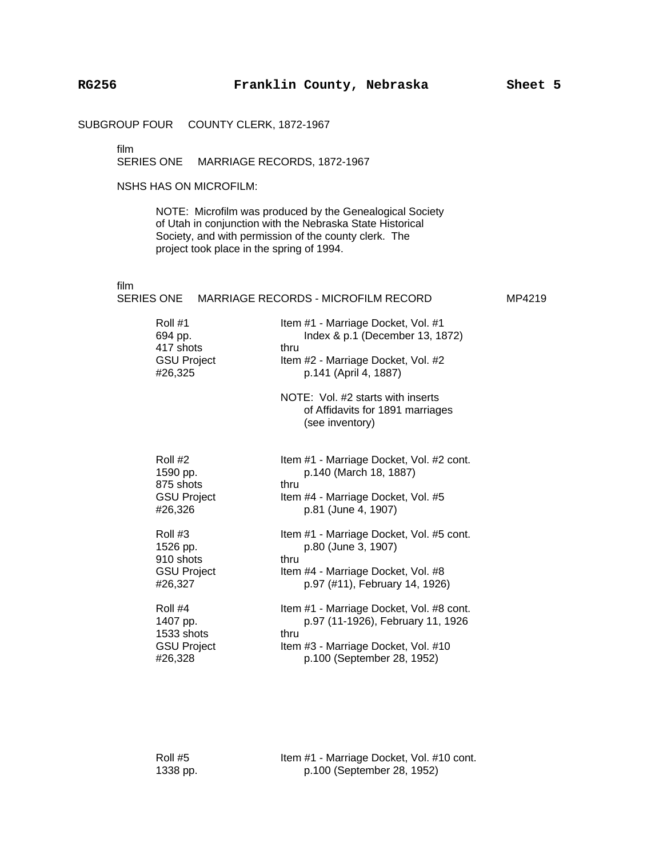SUBGROUP FOUR COUNTY CLERK, 1872-1967

film

SERIES ONE MARRIAGE RECORDS, 1872-1967

#### NSHS HAS ON MICROFILM:

NOTE: Microfilm was produced by the Genealogical Society of Utah in conjunction with the Nebraska State Historical Society, and with permission of the county clerk. The project took place in the spring of 1994.

film

|                                                                    | SERIES ONE MARRIAGE RECORDS - MICROFILM RECORD                                                                                                             | MP4219 |
|--------------------------------------------------------------------|------------------------------------------------------------------------------------------------------------------------------------------------------------|--------|
| Roll #1<br>694 pp.<br>417 shots<br><b>GSU Project</b><br>#26,325   | Item #1 - Marriage Docket, Vol. #1<br>Index & p.1 (December 13, 1872)<br>thru<br>Item #2 - Marriage Docket, Vol. #2<br>p.141 (April 4, 1887)               |        |
|                                                                    | NOTE: Vol. #2 starts with inserts<br>of Affidavits for 1891 marriages<br>(see inventory)                                                                   |        |
| Roll #2<br>1590 pp.<br>875 shots<br><b>GSU Project</b><br>#26,326  | Item #1 - Marriage Docket, Vol. #2 cont.<br>p.140 (March 18, 1887)<br>thru<br>Item #4 - Marriage Docket, Vol. #5<br>p.81 (June 4, 1907)                    |        |
| Roll #3<br>1526 pp.<br>910 shots<br><b>GSU Project</b><br>#26,327  | Item #1 - Marriage Docket, Vol. #5 cont.<br>p.80 (June 3, 1907)<br>thru<br>Item #4 - Marriage Docket, Vol. #8<br>p.97 (#11), February 14, 1926)            |        |
| Roll #4<br>1407 pp.<br>1533 shots<br><b>GSU Project</b><br>#26,328 | Item #1 - Marriage Docket, Vol. #8 cont.<br>p.97 (11-1926), February 11, 1926<br>thru<br>Item #3 - Marriage Docket, Vol. #10<br>p.100 (September 28, 1952) |        |

Roll #5 Item #1 - Marriage Docket, Vol. #10 cont. 1338 pp. p.100 (September 28, 1952)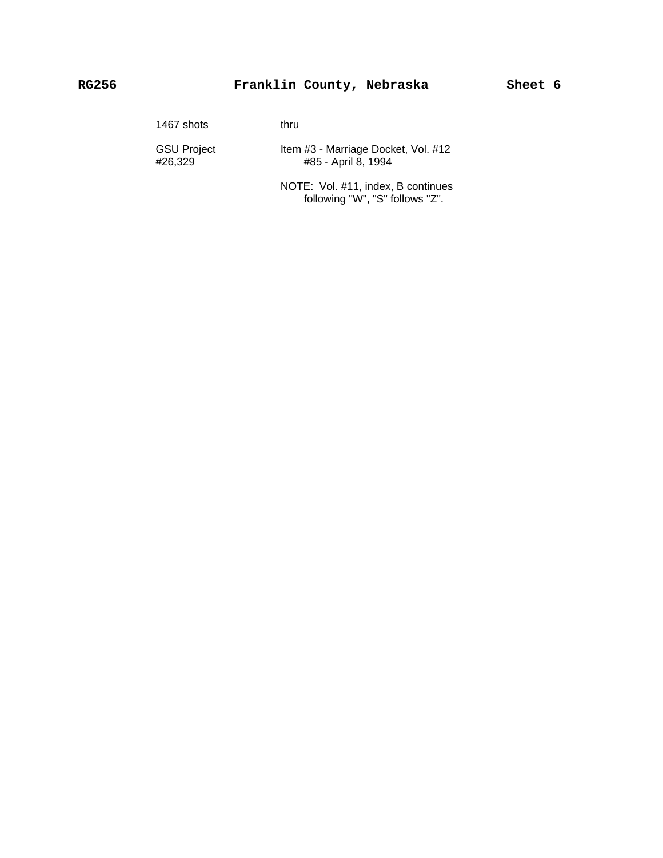### **RG256 Franklin County, Nebraska Sheet 6**

| 1467 shots                    | thru                                                       |
|-------------------------------|------------------------------------------------------------|
| <b>GSU Project</b><br>#26.329 | Item #3 - Marriage Docket, Vol. #12<br>#85 - April 8, 1994 |
|                               | NOTE: Vol. #11, index, B continues                         |

following "W", "S" follows "Z".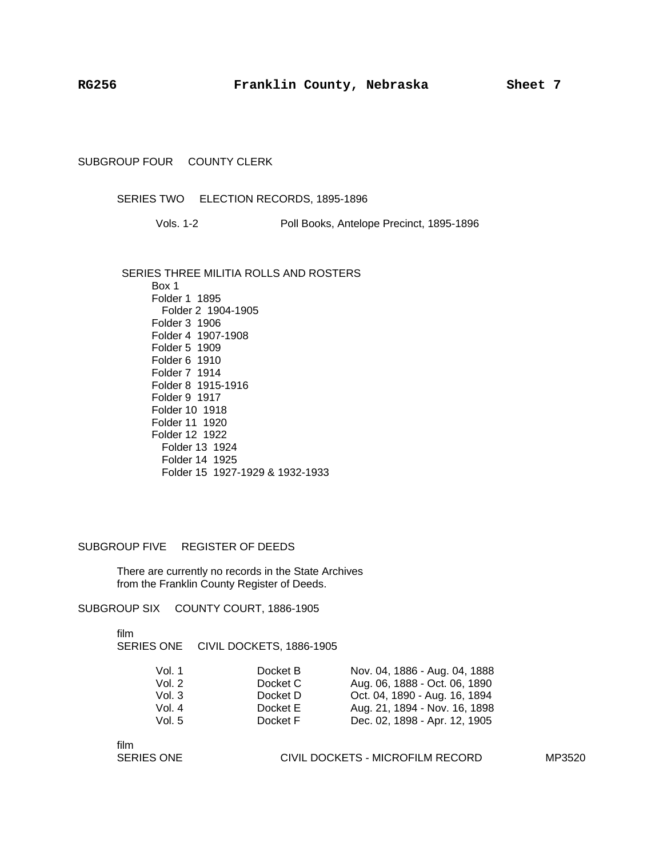#### SUBGROUP FOUR COUNTY CLERK

#### SERIES TWO ELECTION RECORDS, 1895-1896

Vols. 1-2 Poll Books, Antelope Precinct, 1895-1896

SERIES THREE MILITIA ROLLS AND ROSTERS Box 1 Folder 1 1895 Folder 2 1904-1905 Folder 3 1906 Folder 4 1907-1908 Folder 5 1909 Folder 6 1910 Folder 7 1914 Folder 8 1915-1916 Folder 9 1917 Folder 10 1918 Folder 11 1920 Folder 12 1922 Folder 13 1924 Folder 14 1925 Folder 15 1927-1929 & 1932-1933

SUBGROUP FIVE REGISTER OF DEEDS

There are currently no records in the State Archives from the Franklin County Register of Deeds.

SUBGROUP SIX COUNTY COURT, 1886-1905

film

SERIES ONE CIVIL DOCKETS, 1886-1905

| Vol. 1   | Docket B | Nov. 04, 1886 - Aug. 04, 1888 |
|----------|----------|-------------------------------|
| Vol. $2$ | Docket C | Aug. 06, 1888 - Oct. 06, 1890 |
| Vol. $3$ | Docket D | Oct. 04, 1890 - Aug. 16, 1894 |
| Vol. 4   | Docket E | Aug. 21, 1894 - Nov. 16, 1898 |
| Vol. 5   | Docket F | Dec. 02, 1898 - Apr. 12, 1905 |

film<br>SERIES ONE

CIVIL DOCKETS - MICROFILM RECORD MP3520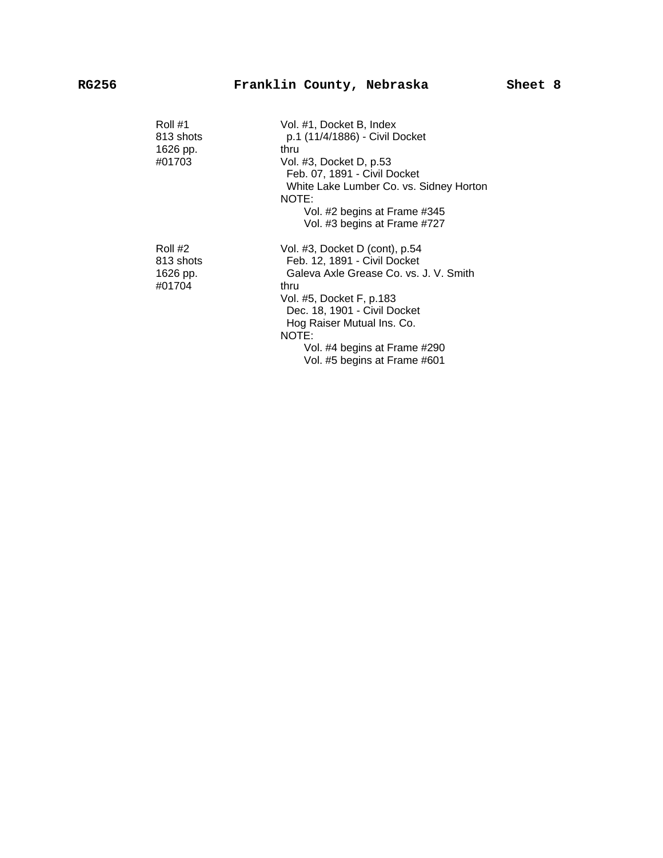| Roll #1<br>813 shots<br>1626 pp.<br>#01703 | Vol. #1, Docket B, Index<br>p.1 (11/4/1886) - Civil Docket<br>thru<br>Vol. #3, Docket D, p.53<br>Feb. 07, 1891 - Civil Docket<br>White Lake Lumber Co. vs. Sidney Horton<br>NOTE:<br>Vol. #2 begins at Frame #345<br>Vol. #3 begins at Frame #727                                   |
|--------------------------------------------|-------------------------------------------------------------------------------------------------------------------------------------------------------------------------------------------------------------------------------------------------------------------------------------|
| Roll #2<br>813 shots<br>1626 pp.<br>#01704 | Vol. #3, Docket D (cont), p.54<br>Feb. 12, 1891 - Civil Docket<br>Galeva Axle Grease Co. vs. J. V. Smith<br>thru<br>Vol. #5, Docket F, p.183<br>Dec. 18, 1901 - Civil Docket<br>Hog Raiser Mutual Ins. Co.<br>NOTE:<br>Vol. #4 begins at Frame #290<br>Vol. #5 begins at Frame #601 |